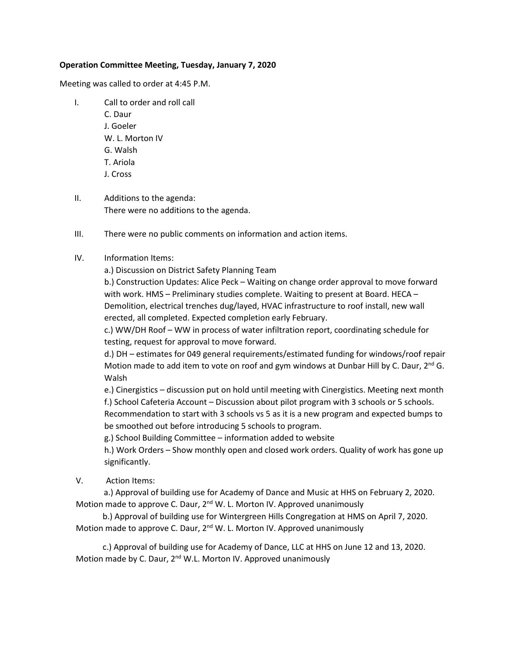## **Operation Committee Meeting, Tuesday, January 7, 2020**

Meeting was called to order at 4:45 P.M.

- I. Call to order and roll call C. Daur J. Goeler W. L. Morton IV G. Walsh T. Ariola J. Cross
- II. Additions to the agenda: There were no additions to the agenda.
- III. There were no public comments on information and action items.

## IV. Information Items:

a.) Discussion on District Safety Planning Team

b.) Construction Updates: Alice Peck – Waiting on change order approval to move forward with work. HMS – Preliminary studies complete. Waiting to present at Board. HECA – Demolition, electrical trenches dug/layed, HVAC infrastructure to roof install, new wall erected, all completed. Expected completion early February.

c.) WW/DH Roof – WW in process of water infiltration report, coordinating schedule for testing, request for approval to move forward.

d.) DH – estimates for 049 general requirements/estimated funding for windows/roof repair Motion made to add item to vote on roof and gym windows at Dunbar Hill by C. Daur,  $2^{nd}$  G. Walsh

e.) Cinergistics – discussion put on hold until meeting with Cinergistics. Meeting next month f.) School Cafeteria Account – Discussion about pilot program with 3 schools or 5 schools. Recommendation to start with 3 schools vs 5 as it is a new program and expected bumps to be smoothed out before introducing 5 schools to program.

g.) School Building Committee – information added to website

h.) Work Orders – Show monthly open and closed work orders. Quality of work has gone up significantly.

## V. Action Items:

 a.) Approval of building use for Academy of Dance and Music at HHS on February 2, 2020. Motion made to approve C. Daur,  $2^{nd}$  W. L. Morton IV. Approved unanimously

 b.) Approval of building use for Wintergreen Hills Congregation at HMS on April 7, 2020. Motion made to approve C. Daur, 2<sup>nd</sup> W. L. Morton IV. Approved unanimously

 c.) Approval of building use for Academy of Dance, LLC at HHS on June 12 and 13, 2020. Motion made by C. Daur, 2<sup>nd</sup> W.L. Morton IV. Approved unanimously